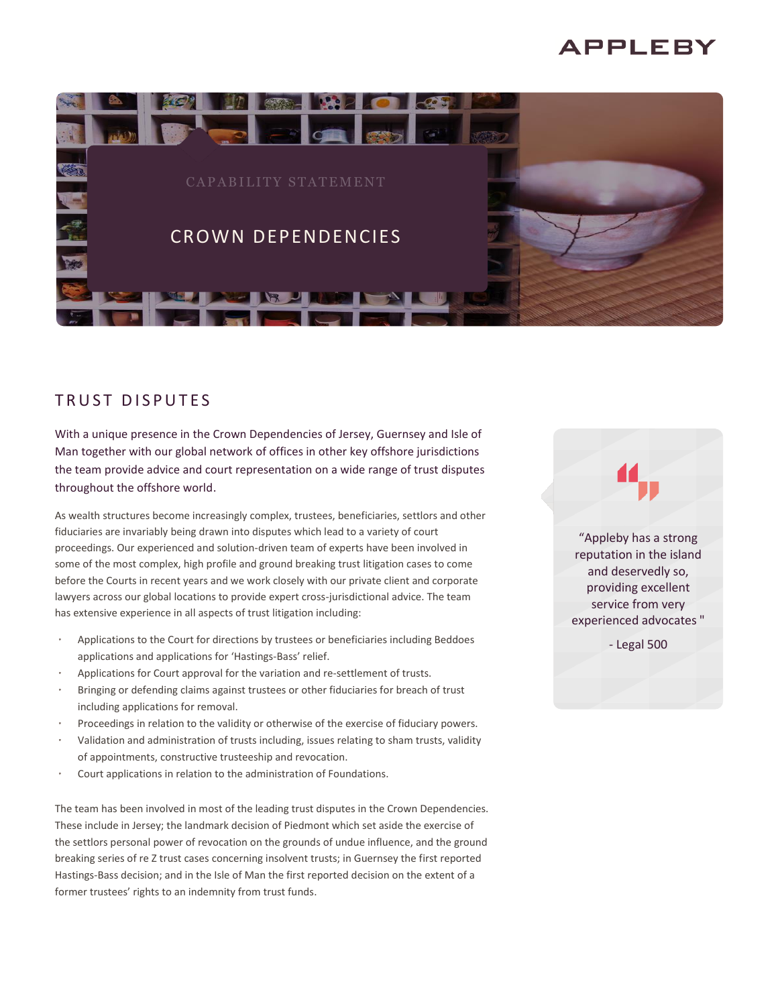# APPLEBY



## TRUST DISPUTES

With a unique presence in the Crown Dependencies of Jersey, Guernsey and Isle of Man together with our global network of offices in other key offshore jurisdictions the team provide advice and court representation on a wide range of trust disputes throughout the offshore world.

As wealth structures become increasingly complex, trustees, beneficiaries, settlors and other fiduciaries are invariably being drawn into disputes which lead to a variety of court proceedings. Our experienced and solution-driven team of experts have been involved in some of the most complex, high profile and ground breaking trust litigation cases to come before the Courts in recent years and we work closely with our private client and corporate lawyers across our global locations to provide expert cross-jurisdictional advice. The team has extensive experience in all aspects of trust litigation including:

- Applications to the Court for directions by trustees or beneficiaries including Beddoes applications and applications for 'Hastings-Bass' relief.
- Applications for Court approval for the variation and re-settlement of trusts.
- Bringing or defending claims against trustees or other fiduciaries for breach of trust including applications for removal.
- Proceedings in relation to the validity or otherwise of the exercise of fiduciary powers.
- Validation and administration of trusts including, issues relating to sham trusts, validity of appointments, constructive trusteeship and revocation.
- Court applications in relation to the administration of Foundations.

The team has been involved in most of the leading trust disputes in the Crown Dependencies. These include in Jersey; the landmark decision of Piedmont which set aside the exercise of the settlors personal power of revocation on the grounds of undue influence, and the ground breaking series of re Z trust cases concerning insolvent trusts; in Guernsey the first reported Hastings-Bass decision; and in the Isle of Man the first reported decision on the extent of a former trustees' rights to an indemnity from trust funds.

"Appleby has a strong reputation in the island and deservedly so, providing excellent service from very experienced advocates "

- Legal 500